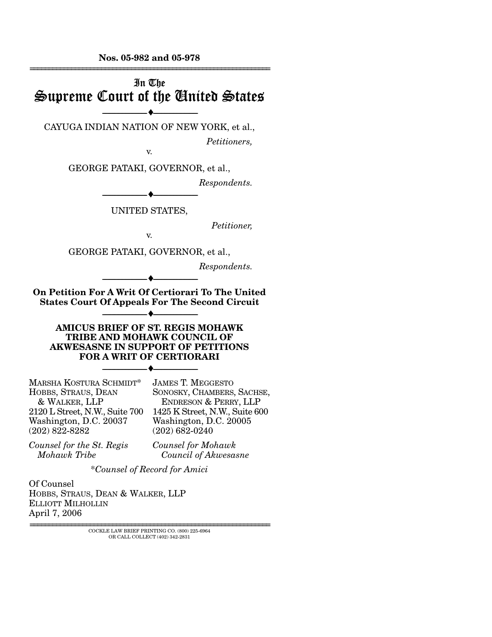**Nos. 05-982 and 05-978**  ================================================================

# In The Supreme Court of the United States

--------------------------------- ♦ --------------------------------- CAYUGA INDIAN NATION OF NEW YORK, et al.,

*Petitioners,* 

v.

GEORGE PATAKI, GOVERNOR, et al.,

--------------------------------- ♦ ---------------------------------

*Respondents.* 

UNITED STATES,

*Petitioner,* 

v.

GEORGE PATAKI, GOVERNOR, et al.,

*Respondents.* 

**On Petition For A Writ Of Certiorari To The United States Court Of Appeals For The Second Circuit** 

--------------------------------- ♦ ---------------------------------

--------------------------------- ♦ ---------------------------------

### **AMICUS BRIEF OF ST. REGIS MOHAWK TRIBE AND MOHAWK COUNCIL OF AKWESASNE IN SUPPORT OF PETITIONS FOR A WRIT OF CERTIORARI**

--------------------------------- ♦ ---------------------------------

MARSHA KOSTURA SCHMIDT\* HOBBS, STRAUS, DEAN & WALKER, LLP 2120 L Street, N.W., Suite 700 Washington, D.C. 20037 (202) 822-8282

JAMES T. MEGGESTO SONOSKY, CHAMBERS, SACHSE, ENDRESON & PERRY, LLP 1425 K Street, N.W., Suite 600 Washington, D.C. 20005 (202) 682-0240

*Counsel for the St. Regis Mohawk Tribe* 

*Counsel for Mohawk Council of Akwesasne* 

\**Counsel of Record for Amici*

Of Counsel HOBBS, STRAUS, DEAN & WALKER, LLP ELLIOTT MILHOLLIN April 7, 2006

> ================================================================ COCKLE LAW BRIEF PRINTING CO. (800) 225-6964 OR CALL COLLECT (402) 342-2831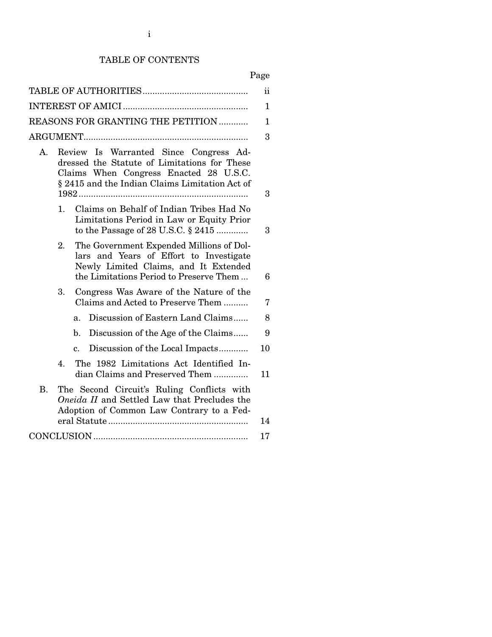## TABLE OF CONTENTS

| - 400 |  |
|-------|--|
|       |  |

|                                                                                                                                                                                          | $\rm ii$     |
|------------------------------------------------------------------------------------------------------------------------------------------------------------------------------------------|--------------|
|                                                                                                                                                                                          | 1            |
| REASONS FOR GRANTING THE PETITION                                                                                                                                                        | $\mathbf{1}$ |
|                                                                                                                                                                                          | 3            |
| Review Is Warranted Since Congress Ad-<br>A.<br>dressed the Statute of Limitations for These<br>Claims When Congress Enacted 28 U.S.C.<br>§ 2415 and the Indian Claims Limitation Act of | 3            |
| Claims on Behalf of Indian Tribes Had No<br>1.<br>Limitations Period in Law or Equity Prior<br>to the Passage of 28 U.S.C. $\S$ 2415                                                     | 3            |
| The Government Expended Millions of Dol-<br>2.<br>lars and Years of Effort to Investigate<br>Newly Limited Claims, and It Extended<br>the Limitations Period to Preserve Them            | 6            |
| 3.<br>Congress Was Aware of the Nature of the<br>Claims and Acted to Preserve Them                                                                                                       | 7            |
| Discussion of Eastern Land Claims<br>a.                                                                                                                                                  | 8            |
| Discussion of the Age of the Claims<br>$\mathbf{b}$ .                                                                                                                                    | 9            |
| Discussion of the Local Impacts<br>$\mathbf{c}$ .                                                                                                                                        | 10           |
| The 1982 Limitations Act Identified In-<br>4.<br>dian Claims and Preserved Them                                                                                                          | 11           |
| <b>B.</b><br>The Second Circuit's Ruling Conflicts with<br>Oneida II and Settled Law that Precludes the<br>Adoption of Common Law Contrary to a Fed-                                     | 14           |
|                                                                                                                                                                                          | 17           |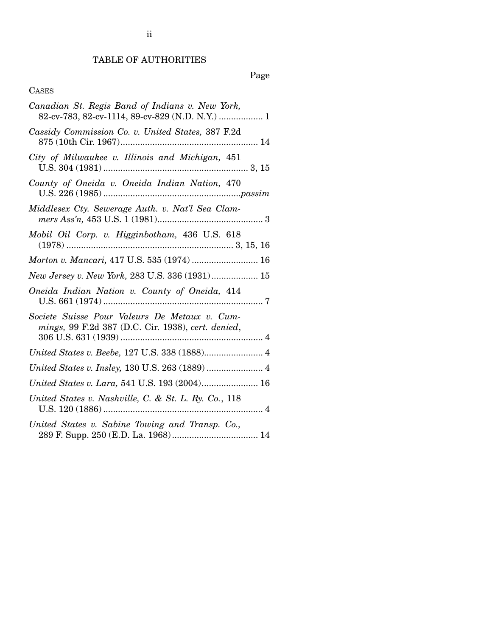## TABLE OF AUTHORITIES

## Page

## CASES

| Canadian St. Regis Band of Indians v. New York,<br>82-cv-783, 82-cv-1114, 89-cv-829 (N.D. N.Y.)  1  |
|-----------------------------------------------------------------------------------------------------|
| Cassidy Commission Co. v. United States, 387 F.2d                                                   |
| City of Milwaukee v. Illinois and Michigan, 451                                                     |
| County of Oneida v. Oneida Indian Nation, 470                                                       |
| Middlesex Cty. Sewerage Auth. v. Nat'l Sea Clam-                                                    |
| Mobil Oil Corp. v. Higginbotham, 436 U.S. 618                                                       |
| Morton v. Mancari, 417 U.S. 535 (1974)  16                                                          |
| New Jersey v. New York, 283 U.S. 336 (1931) 15                                                      |
| Oneida Indian Nation v. County of Oneida, 414                                                       |
| Societe Suisse Pour Valeurs De Metaux v. Cum-<br>mings, 99 F.2d 387 (D.C. Cir. 1938), cert. denied, |
|                                                                                                     |
| United States v. Insley, 130 U.S. 263 (1889)  4                                                     |
| United States v. Lara, 541 U.S. 193 (2004) 16                                                       |
| United States v. Nashville, C. & St. L. Ry. Co., 118                                                |
| United States v. Sabine Towing and Transp. Co.,                                                     |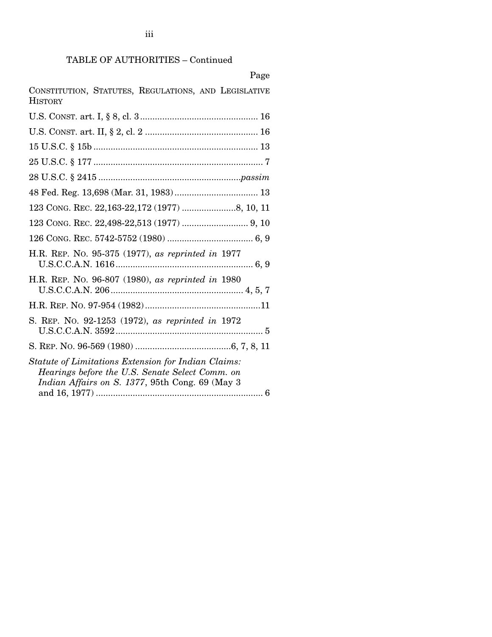iii

| Page                                                                                                                                                      |
|-----------------------------------------------------------------------------------------------------------------------------------------------------------|
| CONSTITUTION, STATUTES, REGULATIONS, AND LEGISLATIVE<br><b>HISTORY</b>                                                                                    |
|                                                                                                                                                           |
|                                                                                                                                                           |
|                                                                                                                                                           |
|                                                                                                                                                           |
|                                                                                                                                                           |
|                                                                                                                                                           |
|                                                                                                                                                           |
|                                                                                                                                                           |
|                                                                                                                                                           |
| H.R. REP. No. 95-375 (1977), as reprinted in 1977                                                                                                         |
| H.R. REP. No. 96-807 (1980), as reprinted in 1980                                                                                                         |
|                                                                                                                                                           |
| S. REP. No. 92-1253 (1972), as reprinted in 1972                                                                                                          |
|                                                                                                                                                           |
| Statute of Limitations Extension for Indian Claims:<br>Hearings before the U.S. Senate Select Comm. on<br>Indian Affairs on S. 1377, 95th Cong. 69 (May 3 |

and 16, 1977) .................................................................... 6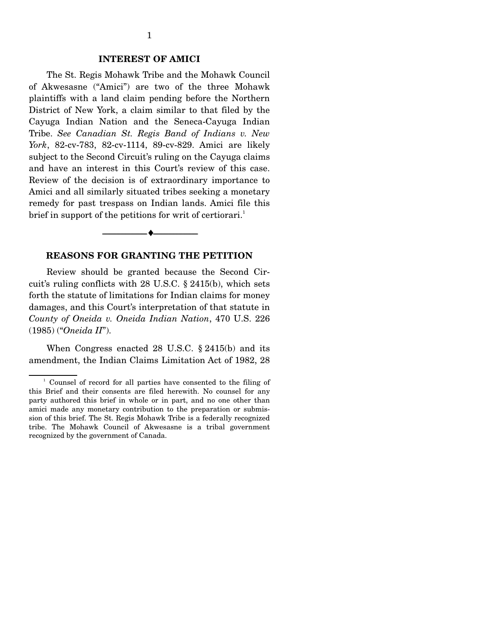#### **INTEREST OF AMICI**

 The St. Regis Mohawk Tribe and the Mohawk Council of Akwesasne ("Amici") are two of the three Mohawk plaintiffs with a land claim pending before the Northern District of New York, a claim similar to that filed by the Cayuga Indian Nation and the Seneca-Cayuga Indian Tribe. *See Canadian St. Regis Band of Indians v. New York*, 82-cv-783, 82-cv-1114, 89-cv-829. Amici are likely subject to the Second Circuit's ruling on the Cayuga claims and have an interest in this Court's review of this case. Review of the decision is of extraordinary importance to Amici and all similarly situated tribes seeking a monetary remedy for past trespass on Indian lands. Amici file this brief in support of the petitions for writ of certiorari.<sup>1</sup>

#### **REASONS FOR GRANTING THE PETITION**

--------------------------------- ♦ ---------------------------------

 Review should be granted because the Second Circuit's ruling conflicts with 28 U.S.C. § 2415(b), which sets forth the statute of limitations for Indian claims for money damages, and this Court's interpretation of that statute in *County of Oneida v. Oneida Indian Nation*, 470 U.S. 226 (1985) ("*Oneida II*").

 When Congress enacted 28 U.S.C. § 2415(b) and its amendment, the Indian Claims Limitation Act of 1982, 28

 $\frac{1}{2}$  Counsel of record for all parties have consented to the filing of this Brief and their consents are filed herewith. No counsel for any party authored this brief in whole or in part, and no one other than amici made any monetary contribution to the preparation or submission of this brief. The St. Regis Mohawk Tribe is a federally recognized tribe. The Mohawk Council of Akwesasne is a tribal government recognized by the government of Canada.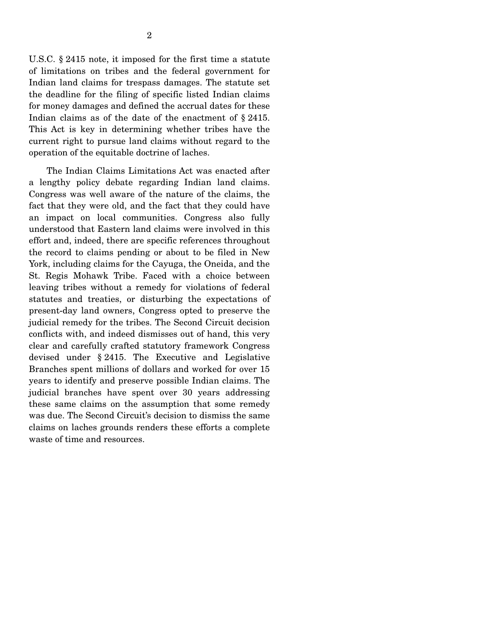U.S.C. § 2415 note, it imposed for the first time a statute of limitations on tribes and the federal government for Indian land claims for trespass damages. The statute set the deadline for the filing of specific listed Indian claims for money damages and defined the accrual dates for these Indian claims as of the date of the enactment of § 2415. This Act is key in determining whether tribes have the current right to pursue land claims without regard to the operation of the equitable doctrine of laches.

 The Indian Claims Limitations Act was enacted after a lengthy policy debate regarding Indian land claims. Congress was well aware of the nature of the claims, the fact that they were old, and the fact that they could have an impact on local communities. Congress also fully understood that Eastern land claims were involved in this effort and, indeed, there are specific references throughout the record to claims pending or about to be filed in New York, including claims for the Cayuga, the Oneida, and the St. Regis Mohawk Tribe. Faced with a choice between leaving tribes without a remedy for violations of federal statutes and treaties, or disturbing the expectations of present-day land owners, Congress opted to preserve the judicial remedy for the tribes. The Second Circuit decision conflicts with, and indeed dismisses out of hand, this very clear and carefully crafted statutory framework Congress devised under § 2415. The Executive and Legislative Branches spent millions of dollars and worked for over 15 years to identify and preserve possible Indian claims. The judicial branches have spent over 30 years addressing these same claims on the assumption that some remedy was due. The Second Circuit's decision to dismiss the same claims on laches grounds renders these efforts a complete waste of time and resources.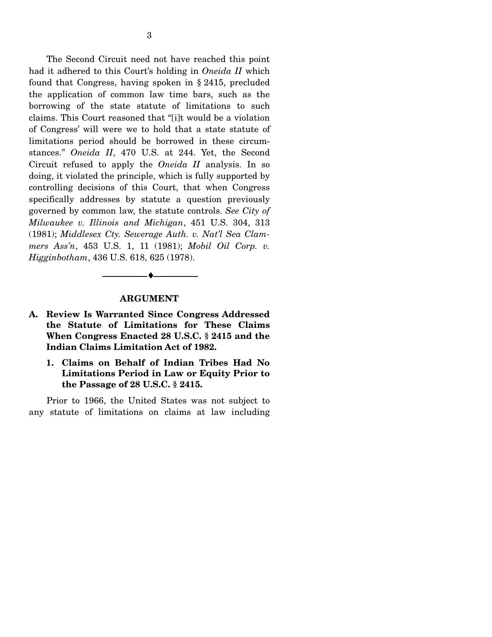The Second Circuit need not have reached this point had it adhered to this Court's holding in *Oneida II* which found that Congress, having spoken in § 2415, precluded the application of common law time bars, such as the borrowing of the state statute of limitations to such claims. This Court reasoned that "[i]t would be a violation of Congress' will were we to hold that a state statute of limitations period should be borrowed in these circumstances." *Oneida II*, 470 U.S. at 244. Yet, the Second Circuit refused to apply the *Oneida II* analysis. In so doing, it violated the principle, which is fully supported by controlling decisions of this Court, that when Congress specifically addresses by statute a question previously governed by common law, the statute controls. *See City of Milwaukee v. Illinois and Michigan*, 451 U.S. 304, 313 (1981); *Middlesex Cty. Sewerage Auth. v. Nat'l Sea Clammers Ass'n*, 453 U.S. 1, 11 (1981); *Mobil Oil Corp. v. Higginbotham*, 436 U.S. 618, 625 (1978).

#### **ARGUMENT**

--------------------------------- ♦ ---------------------------------

- **A. Review Is Warranted Since Congress Addressed the Statute of Limitations for These Claims When Congress Enacted 28 U.S.C. § 2415 and the Indian Claims Limitation Act of 1982.** 
	- **1. Claims on Behalf of Indian Tribes Had No Limitations Period in Law or Equity Prior to the Passage of 28 U.S.C. § 2415.**

 Prior to 1966, the United States was not subject to any statute of limitations on claims at law including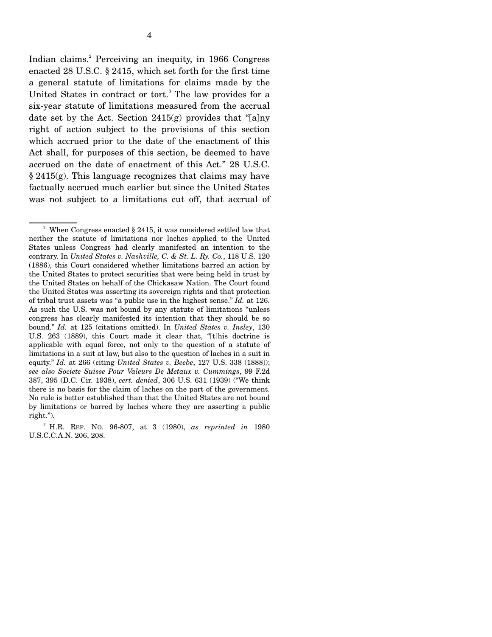Indian claims.<sup>2</sup> Perceiving an inequity, in 1966 Congress enacted 28 U.S.C. § 2415, which set forth for the first time a general statute of limitations for claims made by the United States in contract or tort.<sup>3</sup> The law provides for a six-year statute of limitations measured from the accrual date set by the Act. Section 2415(g) provides that "[a]ny right of action subject to the provisions of this section which accrued prior to the date of the enactment of this Act shall, for purposes of this section, be deemed to have accrued on the date of enactment of this Act." 28 U.S.C. § 2415(g). This language recognizes that claims may have factually accrued much earlier but since the United States was not subject to a limitations cut off, that accrual of

<sup>&</sup>lt;sup>2</sup> When Congress enacted  $\S$  2415, it was considered settled law that neither the statute of limitations nor laches applied to the United States unless Congress had clearly manifested an intention to the contrary. In *United States v. Nashville, C. & St. L. Ry. Co.*, 118 U.S. 120 (1886), this Court considered whether limitations barred an action by the United States to protect securities that were being held in trust by the United States on behalf of the Chickasaw Nation. The Court found the United States was asserting its sovereign rights and that protection of tribal trust assets was "a public use in the highest sense." *Id.* at 126. As such the U.S. was not bound by any statute of limitations "unless congress has clearly manifested its intention that they should be so bound." *Id.* at 125 (citations omitted). In *United States v. Insley*, 130 U.S. 263 (1889), this Court made it clear that, "[t]his doctrine is applicable with equal force, not only to the question of a statute of limitations in a suit at law, but also to the question of laches in a suit in equity." *Id.* at 266 (citing *United States v. Beebe*, 127 U.S. 338 (1888)); *see also Societe Suisse Pour Valeurs De Metaux v. Cummings*, 99 F.2d 387, 395 (D.C. Cir. 1938), *cert. denied*, 306 U.S. 631 (1939) ("We think there is no basis for the claim of laches on the part of the government. No rule is better established than that the United States are not bound by limitations or barred by laches where they are asserting a public right.").

<sup>3</sup> H.R. REP. NO. 96-807, at 3 (1980), *as reprinted in* 1980 U.S.C.C.A.N. 206, 208.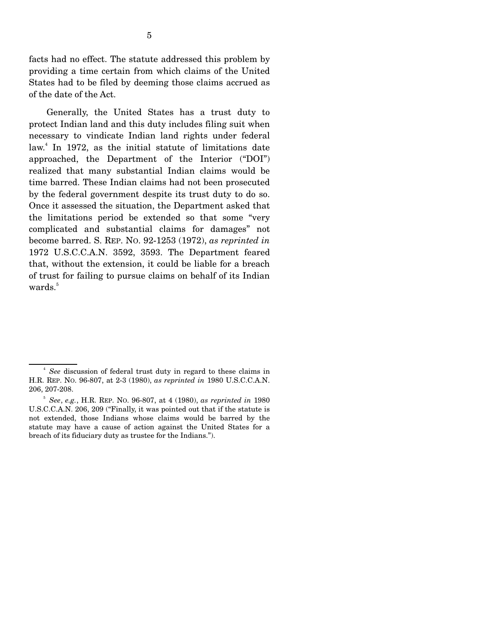facts had no effect. The statute addressed this problem by providing a time certain from which claims of the United States had to be filed by deeming those claims accrued as of the date of the Act.

 Generally, the United States has a trust duty to protect Indian land and this duty includes filing suit when necessary to vindicate Indian land rights under federal law.<sup>4</sup> In 1972, as the initial statute of limitations date approached, the Department of the Interior ("DOI") realized that many substantial Indian claims would be time barred. These Indian claims had not been prosecuted by the federal government despite its trust duty to do so. Once it assessed the situation, the Department asked that the limitations period be extended so that some "very complicated and substantial claims for damages" not become barred. S. REP. NO. 92-1253 (1972), *as reprinted in* 1972 U.S.C.C.A.N. 3592, 3593. The Department feared that, without the extension, it could be liable for a breach of trust for failing to pursue claims on behalf of its Indian wards.<sup>5</sup>

 $\sim$   $\frac{4}{3}$ *See* discussion of federal trust duty in regard to these claims in H.R. REP. NO. 96-807, at 2-3 (1980), *as reprinted in* 1980 U.S.C.C.A.N. 206, 207-208.

<sup>5</sup> *See*, *e.g.*, H.R. REP. NO. 96-807, at 4 (1980), *as reprinted in* 1980 U.S.C.C.A.N. 206, 209 ("Finally, it was pointed out that if the statute is not extended, those Indians whose claims would be barred by the statute may have a cause of action against the United States for a breach of its fiduciary duty as trustee for the Indians.").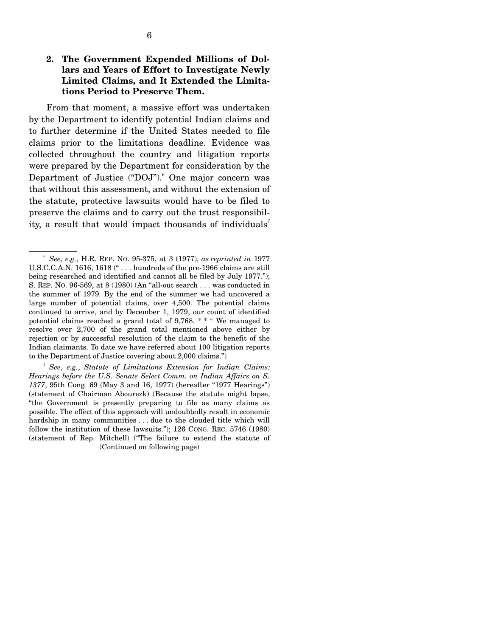### **2. The Government Expended Millions of Dollars and Years of Effort to Investigate Newly Limited Claims, and It Extended the Limitations Period to Preserve Them.**

 From that moment, a massive effort was undertaken by the Department to identify potential Indian claims and to further determine if the United States needed to file claims prior to the limitations deadline. Evidence was collected throughout the country and litigation reports were prepared by the Department for consideration by the Department of Justice ("DOJ").<sup>6</sup> One major concern was that without this assessment, and without the extension of the statute, protective lawsuits would have to be filed to preserve the claims and to carry out the trust responsibility, a result that would impact thousands of individuals<sup>7</sup>

<sup>6</sup> *See*, *e.g.*, H.R. REP. NO. 95-375, at 3 (1977), *as reprinted in* 1977 U.S.C.C.A.N. 1616, 1618 (" . . . hundreds of the pre-1966 claims are still being researched and identified and cannot all be filed by July 1977."); S. REP. NO. 96-569, at 8 (1980) (An "all-out search . . . was conducted in the summer of 1979. By the end of the summer we had uncovered a large number of potential claims, over 4,500. The potential claims continued to arrive, and by December 1, 1979, our count of identified potential claims reached a grand total of 9,768. \* \* \* We managed to resolve over 2,700 of the grand total mentioned above either by rejection or by successful resolution of the claim to the benefit of the Indian claimants. To date we have referred about 100 litigation reports to the Department of Justice covering about 2,000 claims.")

<sup>7</sup> *See*, *e.g.*, *Statute of Limitations Extension for Indian Claims: Hearings before the U.S. Senate Select Comm. on Indian Affairs on S. 1377*, 95th Cong. 69 (May 3 and 16, 1977) (hereafter "1977 Hearings") (statement of Chairman Abourezk) (Because the statute might lapse, "the Government is presently preparing to file as many claims as possible. The effect of this approach will undoubtedly result in economic hardship in many communities . . . due to the clouded title which will follow the institution of these lawsuits."); 126 CONG. REC. 5746 (1980) (statement of Rep. Mitchell) ("The failure to extend the statute of (Continued on following page)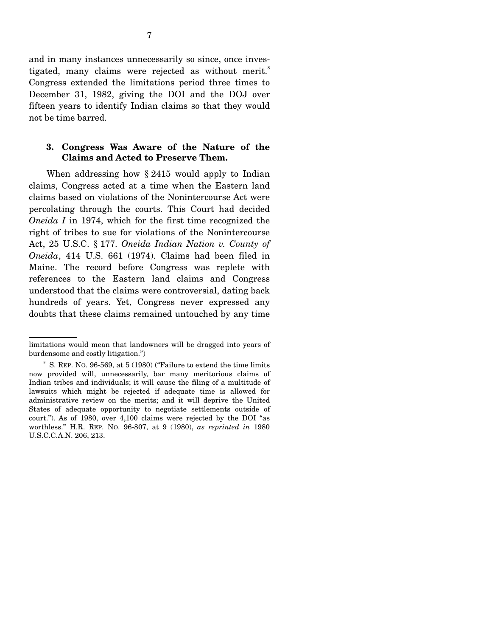and in many instances unnecessarily so since, once investigated, many claims were rejected as without merit.<sup>8</sup> Congress extended the limitations period three times to December 31, 1982, giving the DOI and the DOJ over fifteen years to identify Indian claims so that they would not be time barred.

### **3. Congress Was Aware of the Nature of the Claims and Acted to Preserve Them.**

When addressing how § 2415 would apply to Indian claims, Congress acted at a time when the Eastern land claims based on violations of the Nonintercourse Act were percolating through the courts. This Court had decided *Oneida I* in 1974, which for the first time recognized the right of tribes to sue for violations of the Nonintercourse Act, 25 U.S.C. § 177. *Oneida Indian Nation v. County of Oneida*, 414 U.S. 661 (1974). Claims had been filed in Maine. The record before Congress was replete with references to the Eastern land claims and Congress understood that the claims were controversial, dating back hundreds of years. Yet, Congress never expressed any doubts that these claims remained untouched by any time

limitations would mean that landowners will be dragged into years of burdensome and costly litigation.")

<sup>&</sup>lt;sup>8</sup> S. REP. No. 96-569, at 5 (1980) ("Failure to extend the time limits" now provided will, unnecessarily, bar many meritorious claims of Indian tribes and individuals; it will cause the filing of a multitude of lawsuits which might be rejected if adequate time is allowed for administrative review on the merits; and it will deprive the United States of adequate opportunity to negotiate settlements outside of court."). As of 1980, over 4,100 claims were rejected by the DOI "as worthless." H.R. REP. NO. 96-807, at 9 (1980), *as reprinted in* 1980 U.S.C.C.A.N. 206, 213.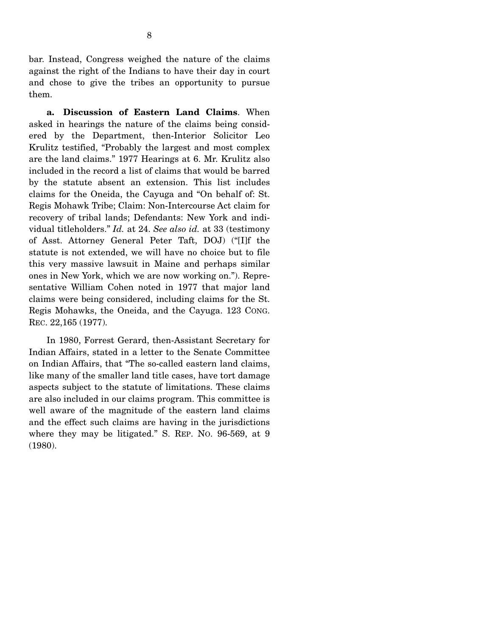bar. Instead, Congress weighed the nature of the claims against the right of the Indians to have their day in court and chose to give the tribes an opportunity to pursue them.

 **a. Discussion of Eastern Land Claims**. When asked in hearings the nature of the claims being considered by the Department, then-Interior Solicitor Leo Krulitz testified, "Probably the largest and most complex are the land claims." 1977 Hearings at 6. Mr. Krulitz also included in the record a list of claims that would be barred by the statute absent an extension. This list includes claims for the Oneida, the Cayuga and "On behalf of: St. Regis Mohawk Tribe; Claim: Non-Intercourse Act claim for recovery of tribal lands; Defendants: New York and individual titleholders." *Id.* at 24. *See also id.* at 33 (testimony of Asst. Attorney General Peter Taft, DOJ) ("[I]f the statute is not extended, we will have no choice but to file this very massive lawsuit in Maine and perhaps similar ones in New York, which we are now working on."). Representative William Cohen noted in 1977 that major land claims were being considered, including claims for the St. Regis Mohawks, the Oneida, and the Cayuga. 123 CONG. REC. 22,165 (1977).

 In 1980, Forrest Gerard, then-Assistant Secretary for Indian Affairs, stated in a letter to the Senate Committee on Indian Affairs, that "The so-called eastern land claims, like many of the smaller land title cases, have tort damage aspects subject to the statute of limitations. These claims are also included in our claims program. This committee is well aware of the magnitude of the eastern land claims and the effect such claims are having in the jurisdictions where they may be litigated." S. REP. NO. 96-569, at 9 (1980).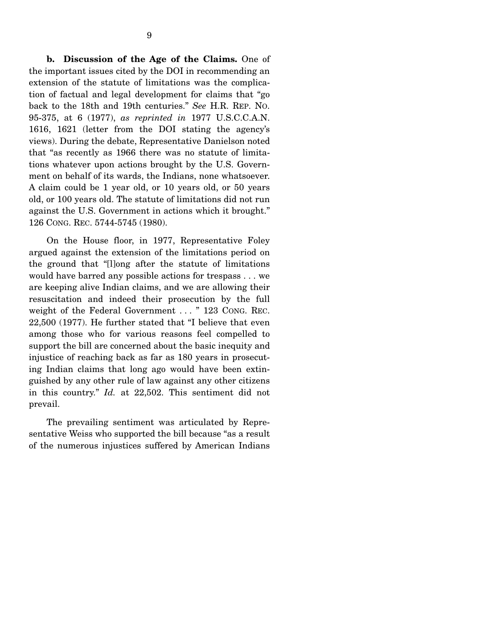**b. Discussion of the Age of the Claims.** One of the important issues cited by the DOI in recommending an extension of the statute of limitations was the complication of factual and legal development for claims that "go back to the 18th and 19th centuries." *See* H.R. REP. NO. 95-375, at 6 (1977), *as reprinted in* 1977 U.S.C.C.A.N. 1616, 1621 (letter from the DOI stating the agency's views). During the debate, Representative Danielson noted that "as recently as 1966 there was no statute of limitations whatever upon actions brought by the U.S. Government on behalf of its wards, the Indians, none whatsoever. A claim could be 1 year old, or 10 years old, or 50 years old, or 100 years old. The statute of limitations did not run against the U.S. Government in actions which it brought." 126 CONG. REC. 5744-5745 (1980).

 On the House floor, in 1977, Representative Foley argued against the extension of the limitations period on the ground that "[l]ong after the statute of limitations would have barred any possible actions for trespass . . . we are keeping alive Indian claims, and we are allowing their resuscitation and indeed their prosecution by the full weight of the Federal Government . . . " 123 CONG. REC. 22,500 (1977). He further stated that "I believe that even among those who for various reasons feel compelled to support the bill are concerned about the basic inequity and injustice of reaching back as far as 180 years in prosecuting Indian claims that long ago would have been extinguished by any other rule of law against any other citizens in this country." *Id.* at 22,502. This sentiment did not prevail.

 The prevailing sentiment was articulated by Representative Weiss who supported the bill because "as a result of the numerous injustices suffered by American Indians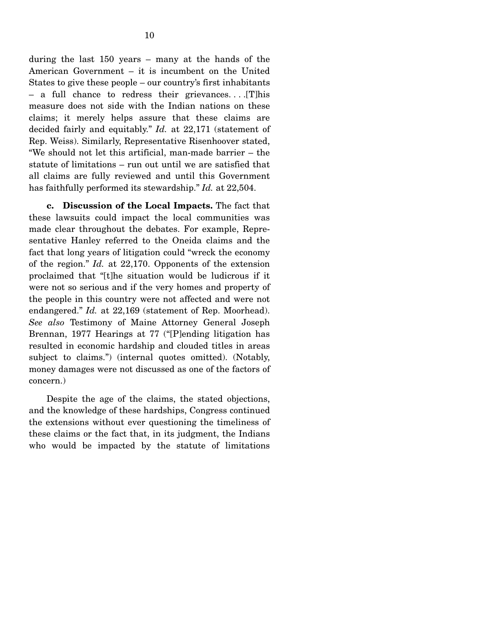during the last 150 years – many at the hands of the American Government – it is incumbent on the United States to give these people – our country's first inhabitants – a full chance to redress their grievances. . . .[T]his measure does not side with the Indian nations on these claims; it merely helps assure that these claims are decided fairly and equitably." *Id.* at 22,171 (statement of Rep. Weiss). Similarly, Representative Risenhoover stated, "We should not let this artificial, man-made barrier – the statute of limitations – run out until we are satisfied that all claims are fully reviewed and until this Government has faithfully performed its stewardship." *Id.* at 22,504.

 **c. Discussion of the Local Impacts.** The fact that these lawsuits could impact the local communities was made clear throughout the debates. For example, Representative Hanley referred to the Oneida claims and the fact that long years of litigation could "wreck the economy of the region." *Id.* at 22,170. Opponents of the extension proclaimed that "[t]he situation would be ludicrous if it were not so serious and if the very homes and property of the people in this country were not affected and were not endangered." *Id.* at 22,169 (statement of Rep. Moorhead). *See also* Testimony of Maine Attorney General Joseph Brennan, 1977 Hearings at 77 ("[P]ending litigation has resulted in economic hardship and clouded titles in areas subject to claims.") (internal quotes omitted). (Notably, money damages were not discussed as one of the factors of concern.)

 Despite the age of the claims, the stated objections, and the knowledge of these hardships, Congress continued the extensions without ever questioning the timeliness of these claims or the fact that, in its judgment, the Indians who would be impacted by the statute of limitations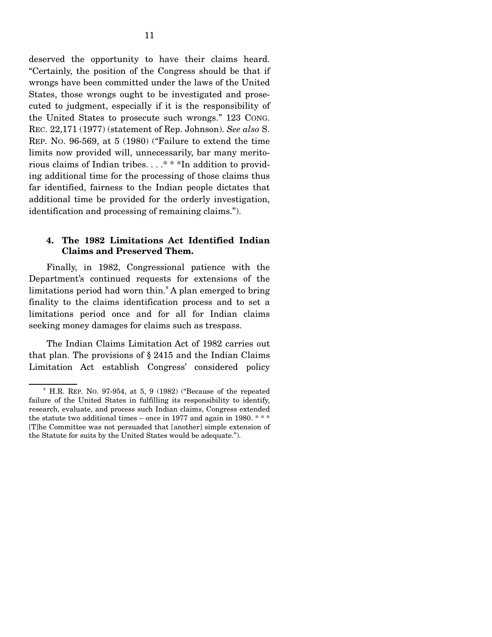deserved the opportunity to have their claims heard. "Certainly, the position of the Congress should be that if wrongs have been committed under the laws of the United States, those wrongs ought to be investigated and prosecuted to judgment, especially if it is the responsibility of the United States to prosecute such wrongs." 123 CONG. REC. 22,171 (1977) (statement of Rep. Johnson). *See also* S. REP. NO. 96-569, at 5 (1980) ("Failure to extend the time limits now provided will, unnecessarily, bar many meritorious claims of Indian tribes. . . .\* \* \*In addition to providing additional time for the processing of those claims thus far identified, fairness to the Indian people dictates that additional time be provided for the orderly investigation, identification and processing of remaining claims.").

### **4. The 1982 Limitations Act Identified Indian Claims and Preserved Them.**

 Finally, in 1982, Congressional patience with the Department's continued requests for extensions of the limitations period had worn thin.<sup>9</sup> A plan emerged to bring finality to the claims identification process and to set a limitations period once and for all for Indian claims seeking money damages for claims such as trespass.

 The Indian Claims Limitation Act of 1982 carries out that plan. The provisions of § 2415 and the Indian Claims Limitation Act establish Congress' considered policy

<sup>9</sup> H.R. REP. NO. 97-954, at 5, 9 (1982) ("Because of the repeated failure of the United States in fulfilling its responsibility to identify, research, evaluate, and process such Indian claims, Congress extended the statute two additional times – once in 1977 and again in 1980. \* \* \* [T]he Committee was not persuaded that [another] simple extension of the Statute for suits by the United States would be adequate.").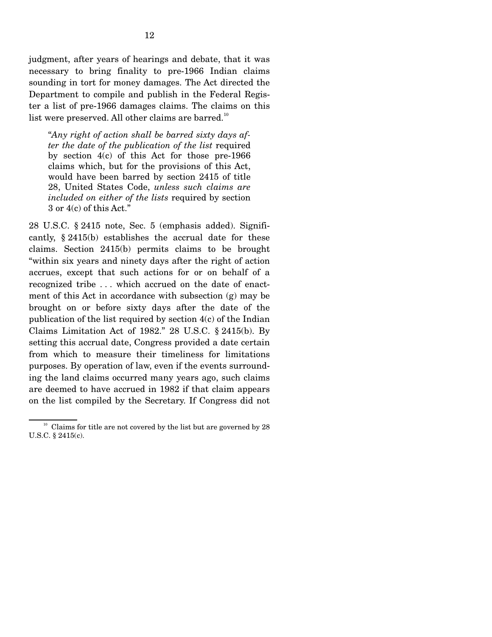judgment, after years of hearings and debate, that it was necessary to bring finality to pre-1966 Indian claims sounding in tort for money damages. The Act directed the Department to compile and publish in the Federal Register a list of pre-1966 damages claims. The claims on this list were preserved. All other claims are barred.<sup>10</sup>

"*Any right of action shall be barred sixty days after the date of the publication of the list* required by section 4(c) of this Act for those pre-1966 claims which, but for the provisions of this Act, would have been barred by section 2415 of title 28, United States Code, *unless such claims are included on either of the lists* required by section 3 or 4(c) of this Act."

28 U.S.C. § 2415 note, Sec. 5 (emphasis added). Significantly, § 2415(b) establishes the accrual date for these claims. Section 2415(b) permits claims to be brought "within six years and ninety days after the right of action accrues, except that such actions for or on behalf of a recognized tribe . . . which accrued on the date of enactment of this Act in accordance with subsection (g) may be brought on or before sixty days after the date of the publication of the list required by section 4(c) of the Indian Claims Limitation Act of 1982." 28 U.S.C. § 2415(b). By setting this accrual date, Congress provided a date certain from which to measure their timeliness for limitations purposes. By operation of law, even if the events surrounding the land claims occurred many years ago, such claims are deemed to have accrued in 1982 if that claim appears on the list compiled by the Secretary. If Congress did not

 $10<sup>10</sup>$  Claims for title are not covered by the list but are governed by 28 U.S.C. § 2415(c).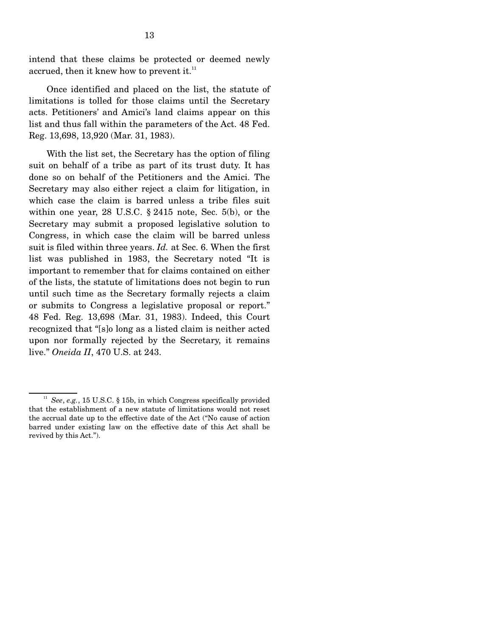intend that these claims be protected or deemed newly accrued, then it knew how to prevent it.<sup>11</sup>

 Once identified and placed on the list, the statute of limitations is tolled for those claims until the Secretary acts. Petitioners' and Amici's land claims appear on this list and thus fall within the parameters of the Act. 48 Fed. Reg. 13,698, 13,920 (Mar. 31, 1983).

 With the list set, the Secretary has the option of filing suit on behalf of a tribe as part of its trust duty. It has done so on behalf of the Petitioners and the Amici. The Secretary may also either reject a claim for litigation, in which case the claim is barred unless a tribe files suit within one year, 28 U.S.C. § 2415 note, Sec. 5(b), or the Secretary may submit a proposed legislative solution to Congress, in which case the claim will be barred unless suit is filed within three years. *Id.* at Sec. 6. When the first list was published in 1983, the Secretary noted "It is important to remember that for claims contained on either of the lists, the statute of limitations does not begin to run until such time as the Secretary formally rejects a claim or submits to Congress a legislative proposal or report." 48 Fed. Reg. 13,698 (Mar. 31, 1983). Indeed, this Court recognized that "[s]o long as a listed claim is neither acted upon nor formally rejected by the Secretary, it remains live." *Oneida II*, 470 U.S. at 243.

 $11$  *See*, *e.g.*, 15 U.S.C. § 15b, in which Congress specifically provided that the establishment of a new statute of limitations would not reset the accrual date up to the effective date of the Act ("No cause of action barred under existing law on the effective date of this Act shall be revived by this Act.").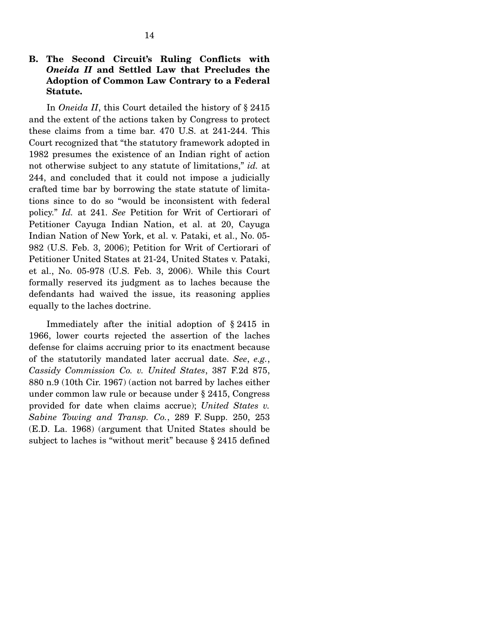### **B. The Second Circuit's Ruling Conflicts with**  *Oneida II* **and Settled Law that Precludes the Adoption of Common Law Contrary to a Federal Statute.**

 In *Oneida II*, this Court detailed the history of § 2415 and the extent of the actions taken by Congress to protect these claims from a time bar. 470 U.S. at 241-244. This Court recognized that "the statutory framework adopted in 1982 presumes the existence of an Indian right of action not otherwise subject to any statute of limitations," *id.* at 244, and concluded that it could not impose a judicially crafted time bar by borrowing the state statute of limitations since to do so "would be inconsistent with federal policy." *Id.* at 241. *See* Petition for Writ of Certiorari of Petitioner Cayuga Indian Nation, et al. at 20, Cayuga Indian Nation of New York, et al. v. Pataki, et al., No. 05- 982 (U.S. Feb. 3, 2006); Petition for Writ of Certiorari of Petitioner United States at 21-24, United States v. Pataki, et al., No. 05-978 (U.S. Feb. 3, 2006). While this Court formally reserved its judgment as to laches because the defendants had waived the issue, its reasoning applies equally to the laches doctrine.

 Immediately after the initial adoption of § 2415 in 1966, lower courts rejected the assertion of the laches defense for claims accruing prior to its enactment because of the statutorily mandated later accrual date. *See*, *e.g.*, *Cassidy Commission Co. v. United States*, 387 F.2d 875, 880 n.9 (10th Cir. 1967) (action not barred by laches either under common law rule or because under § 2415, Congress provided for date when claims accrue); *United States v. Sabine Towing and Transp. Co.*, 289 F. Supp. 250, 253 (E.D. La. 1968) (argument that United States should be subject to laches is "without merit" because § 2415 defined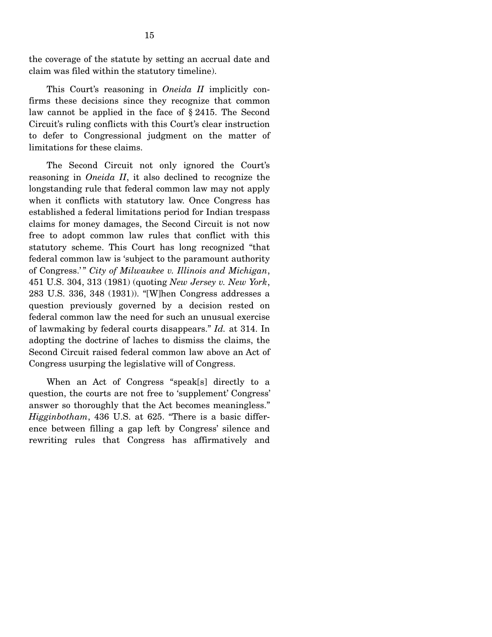the coverage of the statute by setting an accrual date and claim was filed within the statutory timeline).

 This Court's reasoning in *Oneida II* implicitly confirms these decisions since they recognize that common law cannot be applied in the face of § 2415. The Second Circuit's ruling conflicts with this Court's clear instruction to defer to Congressional judgment on the matter of limitations for these claims.

 The Second Circuit not only ignored the Court's reasoning in *Oneida II*, it also declined to recognize the longstanding rule that federal common law may not apply when it conflicts with statutory law. Once Congress has established a federal limitations period for Indian trespass claims for money damages, the Second Circuit is not now free to adopt common law rules that conflict with this statutory scheme. This Court has long recognized "that federal common law is 'subject to the paramount authority of Congress.' " *City of Milwaukee v. Illinois and Michigan*, 451 U.S. 304, 313 (1981) (quoting *New Jersey v. New York*, 283 U.S. 336, 348 (1931)). "[W]hen Congress addresses a question previously governed by a decision rested on federal common law the need for such an unusual exercise of lawmaking by federal courts disappears." *Id.* at 314. In adopting the doctrine of laches to dismiss the claims, the Second Circuit raised federal common law above an Act of Congress usurping the legislative will of Congress.

 When an Act of Congress "speak[s] directly to a question, the courts are not free to 'supplement' Congress' answer so thoroughly that the Act becomes meaningless." *Higginbotham*, 436 U.S. at 625. "There is a basic difference between filling a gap left by Congress' silence and rewriting rules that Congress has affirmatively and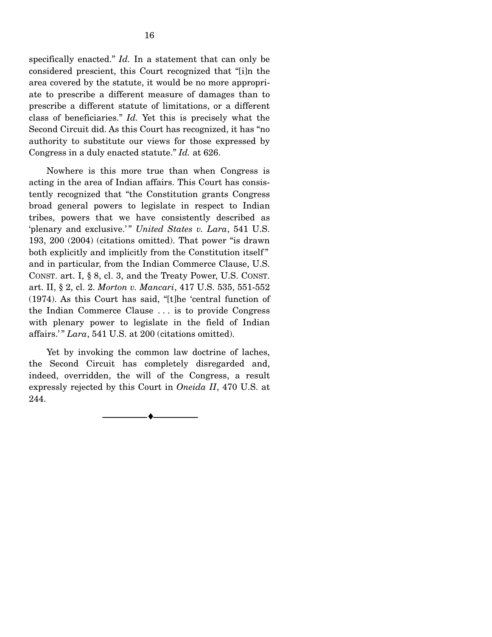specifically enacted." *Id.* In a statement that can only be considered prescient, this Court recognized that "[i]n the area covered by the statute, it would be no more appropriate to prescribe a different measure of damages than to prescribe a different statute of limitations, or a different class of beneficiaries." *Id.* Yet this is precisely what the Second Circuit did. As this Court has recognized, it has "no authority to substitute our views for those expressed by Congress in a duly enacted statute." *Id.* at 626.

 Nowhere is this more true than when Congress is acting in the area of Indian affairs. This Court has consistently recognized that "the Constitution grants Congress broad general powers to legislate in respect to Indian tribes, powers that we have consistently described as 'plenary and exclusive.'" *United States v. Lara*, 541 U.S. 193, 200 (2004) (citations omitted). That power "is drawn both explicitly and implicitly from the Constitution itself" and in particular, from the Indian Commerce Clause, U.S. CONST. art. I, § 8, cl. 3, and the Treaty Power, U.S. CONST. art. II, § 2, cl. 2. *Morton v. Mancari*, 417 U.S. 535, 551-552 (1974). As this Court has said, "[t]he 'central function of the Indian Commerce Clause . . . is to provide Congress with plenary power to legislate in the field of Indian affairs.' " *Lara*, 541 U.S. at 200 (citations omitted).

 Yet by invoking the common law doctrine of laches, the Second Circuit has completely disregarded and, indeed, overridden, the will of the Congress, a result expressly rejected by this Court in *Oneida II*, 470 U.S. at 244.

--------------------------------- ♦ ---------------------------------